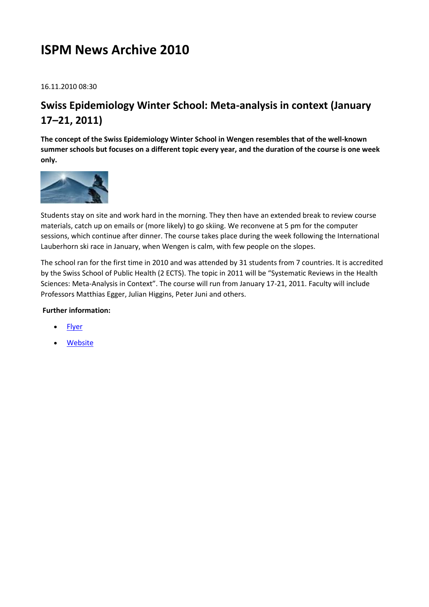# **ISPM News Archive 2010**

16.11.2010 08:30

## **Swiss Epidemiology Winter School: Meta-analysis in context (January 17–21, 2011)**

**The concept of the Swiss Epidemiology Winter School in Wengen resembles that of the well-known summer schools but focuses on a different topic every year, and the duration of the course is one week only.**



Students stay on site and work hard in the morning. They then have an extended break to review course materials, catch up on emails or (more likely) to go skiing. We reconvene at 5 pm for the computer sessions, which continue after dinner. The course takes place during the week following the International Lauberhorn ski race in January, when Wengen is calm, with few people on the slopes.

The school ran for the first time in 2010 and was attended by 31 students from 7 countries. It is accredited by the Swiss School of Public Health (2 ECTS). The topic in 2011 will be "Systematic Reviews in the Health Sciences: Meta-Analysis in Context". The course will run from January 17-21, 2011. Faculty will include Professors Matthias Egger, Julian Higgins, Peter Juni and others.

#### **Further information:**

- **[Flyer](http://www.ispm.ch/fileadmin/Epi/uploads/PDF/Swiss_Epi_Winter_School_2011_071010_V2.pdf)**
- [Website](http://www.epi-winterschool.org/)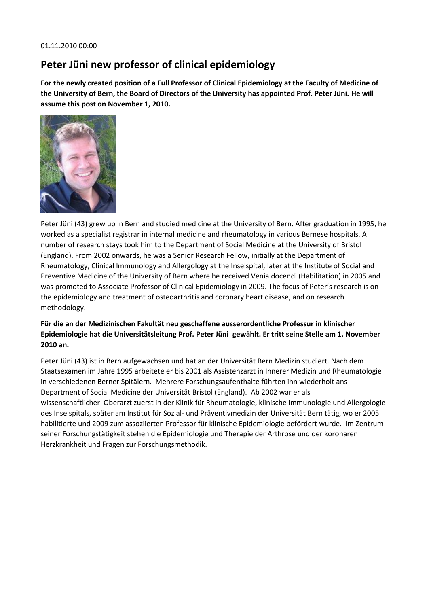#### 01.11.2010 00:00

### **Peter Jüni new professor of clinical epidemiology**

**For the newly created position of a Full Professor of Clinical Epidemiology at the Faculty of Medicine of the University of Bern, the Board of Directors of the University has appointed Prof. Peter Jüni. He will assume this post on November 1, 2010.**



Peter Jüni (43) grew up in Bern and studied medicine at the University of Bern. After graduation in 1995, he worked as a specialist registrar in internal medicine and rheumatology in various Bernese hospitals. A number of research stays took him to the Department of Social Medicine at the University of Bristol (England). From 2002 onwards, he was a Senior Research Fellow, initially at the Department of Rheumatology, Clinical Immunology and Allergology at the Inselspital, later at the Institute of Social and Preventive Medicine of the University of Bern where he received Venia docendi (Habilitation) in 2005 and was promoted to Associate Professor of Clinical Epidemiology in 2009. The focus of Peter's research is on the epidemiology and treatment of osteoarthritis and coronary heart disease, and on research methodology.

#### **Für die an der Medizinischen Fakultät neu geschaffene ausserordentliche Professur in klinischer Epidemiologie hat die Universitätsleitung Prof. Peter Jüni gewählt. Er tritt seine Stelle am 1. November 2010 an.**

Peter Jüni (43) ist in Bern aufgewachsen und hat an der Universität Bern Medizin studiert. Nach dem Staatsexamen im Jahre 1995 arbeitete er bis 2001 als Assistenzarzt in Innerer Medizin und Rheumatologie in verschiedenen Berner Spitälern. Mehrere Forschungsaufenthalte führten ihn wiederholt ans Department of Social Medicine der Universität Bristol (England). Ab 2002 war er als wissenschaftlicher Oberarzt zuerst in der Klinik für Rheumatologie, klinische Immunologie und Allergologie des Inselspitals, später am Institut für Sozial- und Präventivmedizin der Universität Bern tätig, wo er 2005 habilitierte und 2009 zum assoziierten Professor für klinische Epidemiologie befördert wurde. Im Zentrum seiner Forschungstätigkeit stehen die Epidemiologie und Therapie der Arthrose und der koronaren Herzkrankheit und Fragen zur Forschungsmethodik.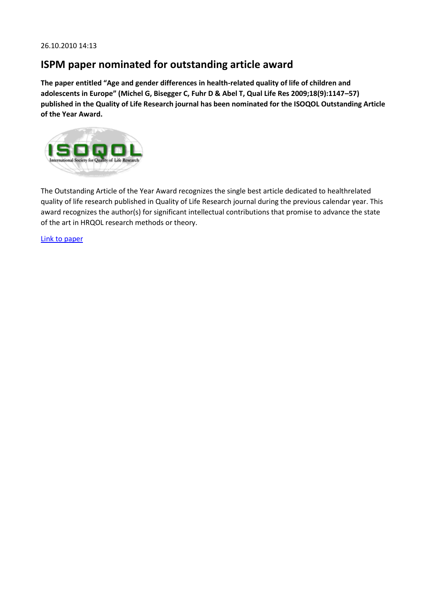#### **ISPM paper nominated for outstanding article award**

**The paper entitled "Age and gender differences in health-related quality of life of children and adolescents in Europe" (Michel G, Bisegger C, Fuhr D & Abel T, Qual Life Res 2009;18(9):1147–57) published in the Quality of Life Research journal has been nominated for the ISOQOL Outstanding Article of the Year Award.**



The Outstanding Article of the Year Award recognizes the single best article dedicated to healthrelated quality of life research published in Quality of Life Research journal during the previous calendar year. This award recognizes the author(s) for significant intellectual contributions that promise to advance the state of the art in HRQOL research methods or theory.

[Link to paper](http://www.springerlink.com/content/140883h025204ml4)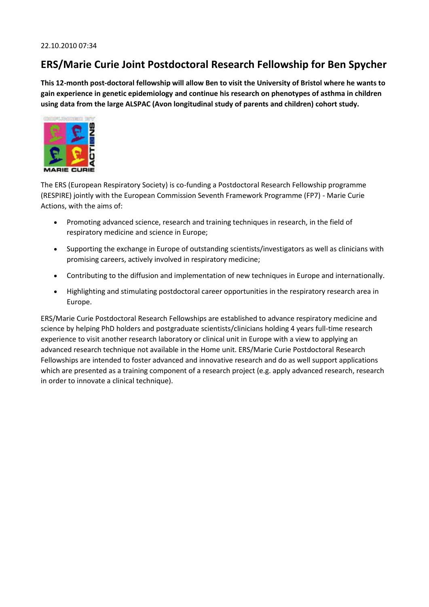### **ERS/Marie Curie Joint Postdoctoral Research Fellowship for Ben Spycher**

**This 12-month post-doctoral fellowship will allow Ben to visit the University of Bristol where he wants to gain experience in genetic epidemiology and continue his research on phenotypes of asthma in children using data from the large ALSPAC (Avon longitudinal study of parents and children) cohort study.**



The ERS (European Respiratory Society) is co-funding a Postdoctoral Research Fellowship programme (RESPIRE) jointly with the European Commission Seventh Framework Programme (FP7) - Marie Curie Actions, with the aims of:

- Promoting advanced science, research and training techniques in research, in the field of respiratory medicine and science in Europe;
- Supporting the exchange in Europe of outstanding scientists/investigators as well as clinicians with promising careers, actively involved in respiratory medicine;
- Contributing to the diffusion and implementation of new techniques in Europe and internationally.
- Highlighting and stimulating postdoctoral career opportunities in the respiratory research area in Europe.

ERS/Marie Curie Postdoctoral Research Fellowships are established to advance respiratory medicine and science by helping PhD holders and postgraduate scientists/clinicians holding 4 years full-time research experience to visit another research laboratory or clinical unit in Europe with a view to applying an advanced research technique not available in the Home unit. ERS/Marie Curie Postdoctoral Research Fellowships are intended to foster advanced and innovative research and do as well support applications which are presented as a training component of a research project (e.g. apply advanced research, research in order to innovate a clinical technique).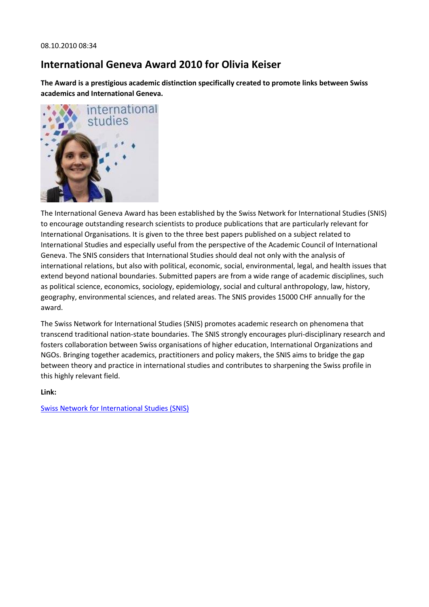## **International Geneva Award 2010 for Olivia Keiser**

**The Award is a prestigious academic distinction specifically created to promote links between Swiss academics and International Geneva.**



The International Geneva Award has been established by the Swiss Network for International Studies (SNIS) to encourage outstanding research scientists to produce publications that are particularly relevant for International Organisations. It is given to the three best papers published on a subject related to International Studies and especially useful from the perspective of the Academic Council of International Geneva. The SNIS considers that International Studies should deal not only with the analysis of international relations, but also with political, economic, social, environmental, legal, and health issues that extend beyond national boundaries. Submitted papers are from a wide range of academic disciplines, such as political science, economics, sociology, epidemiology, social and cultural anthropology, law, history, geography, environmental sciences, and related areas. The SNIS provides 15000 CHF annually for the award.

The Swiss Network for International Studies (SNIS) promotes academic research on phenomena that transcend traditional nation-state boundaries. The SNIS strongly encourages pluri-disciplinary research and fosters collaboration between Swiss organisations of higher education, International Organizations and NGOs. Bringing together academics, practitioners and policy makers, the SNIS aims to bridge the gap between theory and practice in international studies and contributes to sharpening the Swiss profile in this highly relevant field.

#### **Link:**

[Swiss Network for International Studies \(SNIS\)](http://www.snis.ch/)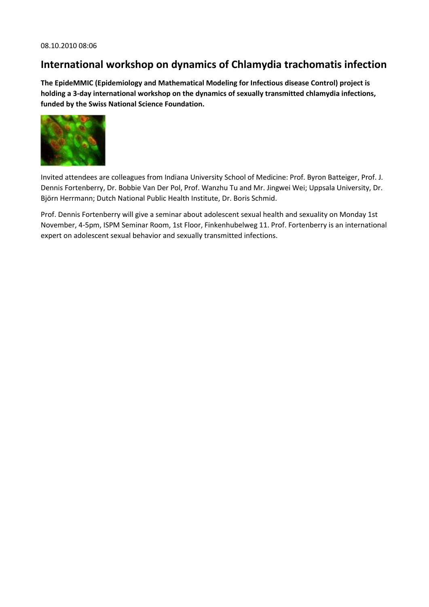#### **International workshop on dynamics of Chlamydia trachomatis infection**

**The EpideMMIC (Epidemiology and Mathematical Modeling for Infectious disease Control) project is holding a 3-day international workshop on the dynamics of sexually transmitted chlamydia infections, funded by the Swiss National Science Foundation.**



Invited attendees are colleagues from Indiana University School of Medicine: Prof. Byron Batteiger, Prof. J. Dennis Fortenberry, Dr. Bobbie Van Der Pol, Prof. Wanzhu Tu and Mr. Jingwei Wei; Uppsala University, Dr. Björn Herrmann; Dutch National Public Health Institute, Dr. Boris Schmid.

Prof. Dennis Fortenberry will give a seminar about adolescent sexual health and sexuality on Monday 1st November, 4-5pm, ISPM Seminar Room, 1st Floor, Finkenhubelweg 11. Prof. Fortenberry is an international expert on adolescent sexual behavior and sexually transmitted infections.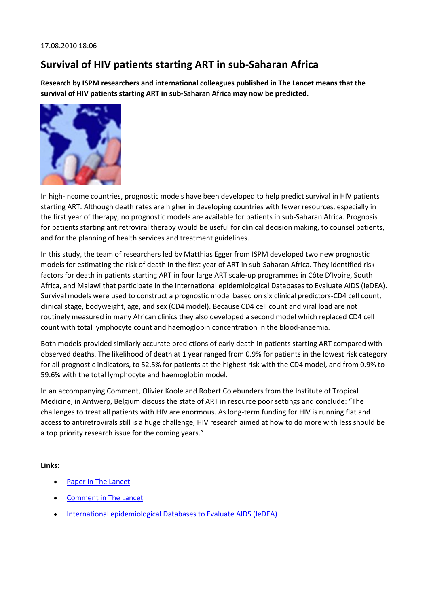## **Survival of HIV patients starting ART in sub-Saharan Africa**

**Research by ISPM researchers and international colleagues published in The Lancet means that the survival of HIV patients starting ART in sub-Saharan Africa may now be predicted.**



In high-income countries, prognostic models have been developed to help predict survival in HIV patients starting ART. Although death rates are higher in developing countries with fewer resources, especially in the first year of therapy, no prognostic models are available for patients in sub-Saharan Africa. Prognosis for patients starting antiretroviral therapy would be useful for clinical decision making, to counsel patients, and for the planning of health services and treatment guidelines.

In this study, the team of researchers led by Matthias Egger from ISPM developed two new prognostic models for estimating the risk of death in the first year of ART in sub-Saharan Africa. They identified risk factors for death in patients starting ART in four large ART scale-up programmes in Côte D'Ivoire, South Africa, and Malawi that participate in the International epidemiological Databases to Evaluate AIDS (IeDEA). Survival models were used to construct a prognostic model based on six clinical predictors-CD4 cell count, clinical stage, bodyweight, age, and sex (CD4 model). Because CD4 cell count and viral load are not routinely measured in many African clinics they also developed a second model which replaced CD4 cell count with total lymphocyte count and haemoglobin concentration in the blood-anaemia.

Both models provided similarly accurate predictions of early death in patients starting ART compared with observed deaths. The likelihood of death at 1 year ranged from 0.9% for patients in the lowest risk category for all prognostic indicators, to 52.5% for patients at the highest risk with the CD4 model, and from 0.9% to 59.6% with the total lymphocyte and haemoglobin model.

In an accompanying Comment, Olivier Koole and Robert Colebunders from the Institute of Tropical Medicine, in Antwerp, Belgium discuss the state of ART in resource poor settings and conclude: "The challenges to treat all patients with HIV are enormous. As long-term funding for HIV is running flat and access to antiretrovirals still is a huge challenge, HIV research aimed at how to do more with less should be a top priority research issue for the coming years."

**Links:**

- Paper in The Lancet
- [Comment in The Lancet](http://www.thelancet.com/journals/lancet/article/PIIS0140-6736%2810%2961020-3/fulltext)
- [International epidemiological Databases to Evaluate AIDS \(IeDEA\)](http://www.iedea-sa.org/)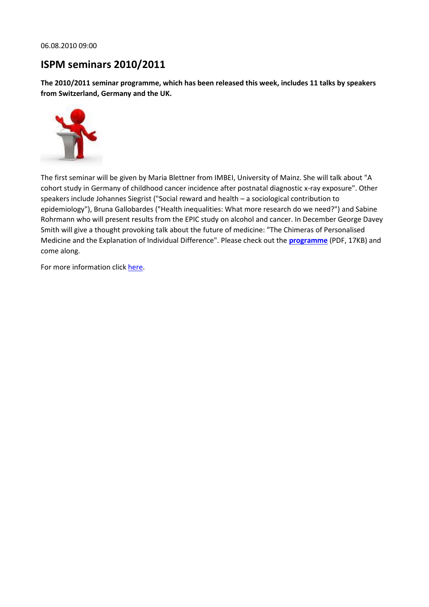06.08.2010 09:00

#### **ISPM seminars 2010/2011**

**The 2010/2011 seminar programme, which has been released this week, includes 11 talks by speakers from Switzerland, Germany and the UK.**



The first seminar will be given by Maria Blettner from IMBEI, University of Mainz. She will talk about "A cohort study in Germany of childhood cancer incidence after postnatal diagnostic x-ray exposure". Other speakers include Johannes Siegrist ("Social reward and health – a sociological contribution to epidemiology"), Bruna Gallobardes ("Health inequalities: What more research do we need?") and Sabine Rohrmann who will present results from the EPIC study on alcohol and cancer. In December George Davey Smith will give a thought provoking talk about the future of medicine: "The Chimeras of Personalised Medicine and the Explanation of Individual Difference". Please check out the **[programme](http://www.ispm.ch/fileadmin/doc_download/Seminare_2010_2011.pdf)** (PDF, 17KB) and come along.

For more information clic[k here.](http://www.ispm.ch/index.php?id=seminars-ispm)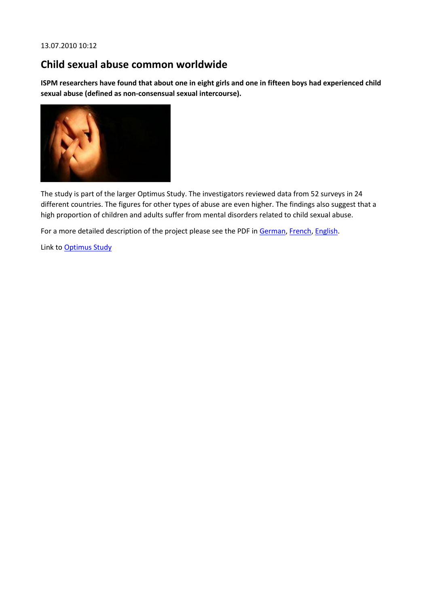## **Child sexual abuse common worldwide**

**ISPM researchers have found that about one in eight girls and one in fifteen boys had experienced child sexual abuse (defined as non-consensual sexual intercourse).**



The study is part of the larger Optimus Study. The investigators reviewed data from 52 surveys in 24 different countries. The figures for other types of abuse are even higher. The findings also suggest that a high proportion of children and adults suffer from mental disorders related to child sexual abuse.

For a more detailed description of the project please see the PDF in [German,](http://www.ispm.ch/fileadmin/doc_download/News/News_1007_OptimusStudy_Newsletter_Juni_2010.pdf) [French,](http://www.ispm.ch/fileadmin/doc_download/News/News_1007_OptimusStudy_Newsletter_Juin_2010.pdf) [English.](http://www.ispm.ch/fileadmin/doc_download/News/News_1007_OptimusStudy_Newsletter_June_2010.pdf)

Link to [Optimus Study](http://www.optimusstudy.org/)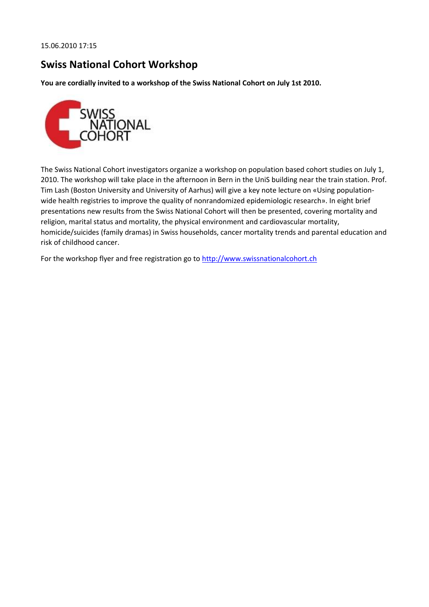## **Swiss National Cohort Workshop**

**You are cordially invited to a workshop of the Swiss National Cohort on July 1st 2010.**



The Swiss National Cohort investigators organize a workshop on population based cohort studies on July 1, 2010. The workshop will take place in the afternoon in Bern in the UniS building near the train station. Prof. Tim Lash (Boston University and University of Aarhus) will give a key note lecture on «Using populationwide health registries to improve the quality of nonrandomized epidemiologic research». In eight brief presentations new results from the Swiss National Cohort will then be presented, covering mortality and religion, marital status and mortality, the physical environment and cardiovascular mortality, homicide/suicides (family dramas) in Swiss households, cancer mortality trends and parental education and risk of childhood cancer.

For the workshop flyer and free registration go to http://www.swissnationalcohort.ch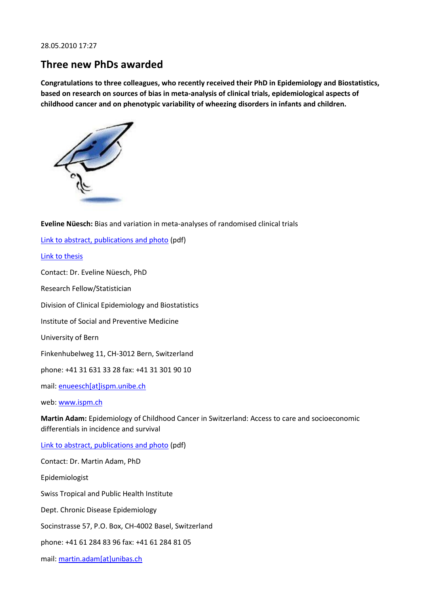### **Three new PhDs awarded**

**Congratulations to three colleagues, who recently received their PhD in Epidemiology and Biostatistics, based on research on sources of bias in meta-analysis of clinical trials, epidemiological aspects of childhood cancer and on phenotypic variability of wheezing disorders in infants and children.**



**Eveline Nüesch:** Bias and variation in meta-analyses of randomised clinical trials [Link to abstract, publications and photo](http://www.ispm.ch/fileadmin/doc_download/News/News_1005_abstract_EN.pdf) (pdf) [Link to thesis](http://www.zb.unibe.ch/download/eldiss/10nueesch_e.pdf) Contact: Dr. Eveline Nüesch, PhD Research Fellow/Statistician Division of Clinical Epidemiology and Biostatistics Institute of Social and Preventive Medicine University of Bern Finkenhubelweg 11, CH-3012 Bern, Switzerland phone: +41 31 631 33 28 fax: +41 31 301 90 10 mail: [enueesch\[at\]ispm.unibe.ch](javascript:linkTo_UnCryptMailto() web: [www.ispm.ch](http://www.ispm.ch/) **Martin Adam:** Epidemiology of Childhood Cancer in Switzerland: Access to care and socioeconomic differentials in incidence and survival [Link to abstract, publications and photo](http://www.ispm.ch/fileadmin/doc_download/News/News_1005_abstract_MA.pdf) (pdf) Contact: Dr. Martin Adam, PhD Epidemiologist Swiss Tropical and Public Health Institute Dept. Chronic Disease Epidemiology Socinstrasse 57, P.O. Box, CH-4002 Basel, Switzerland phone: +41 61 284 83 96 fax: +41 61 284 81 05

mail: [martin.adam\[at\]unibas.ch](javascript:linkTo_UnCryptMailto()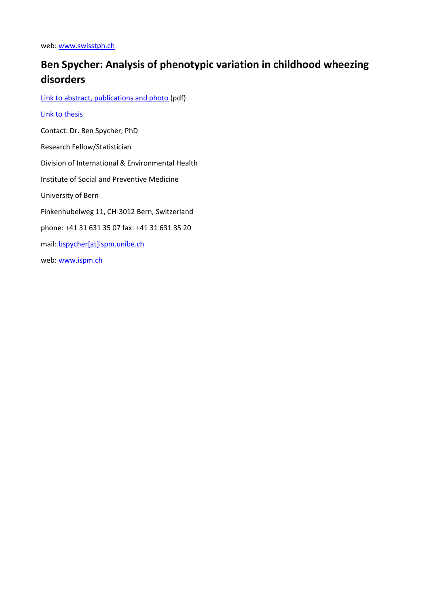web: [www.swisstph.ch](http://www.swisstph.ch/)

# **Ben Spycher: Analysis of phenotypic variation in childhood wheezing disorders**

[Link to abstract, publications and photo](http://www.ispm.ch/fileadmin/doc_download/News/News_1005_abstract_BS.pdf) (pdf)

#### [Link to thesis](http://www.zb.unibe.ch/download/eldiss/10spycher_bd.pdf)

Contact: Dr. Ben Spycher, PhD

Research Fellow/Statistician

Division of International & Environmental Health

Institute of Social and Preventive Medicine

University of Bern

Finkenhubelweg 11, CH-3012 Bern, Switzerland

phone: +41 31 631 35 07 fax: +41 31 631 35 20

mail: [bspycher\[at\]ispm.unibe.ch](javascript:linkTo_UnCryptMailto()

web: [www.ispm.ch](http://www.ispm.ch/)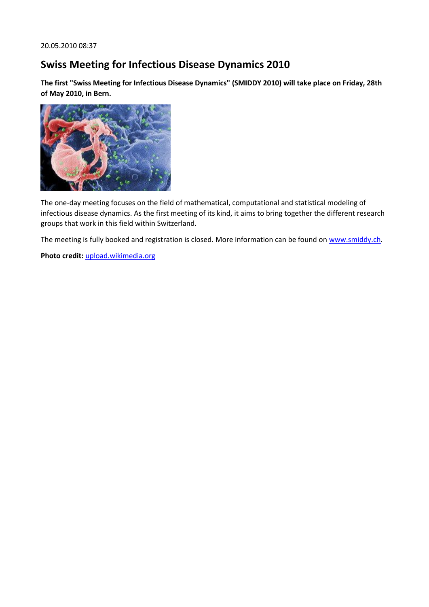## **Swiss Meeting for Infectious Disease Dynamics 2010**

**The first "Swiss Meeting for Infectious Disease Dynamics" (SMIDDY 2010) will take place on Friday, 28th of May 2010, in Bern.**



The one-day meeting focuses on the field of mathematical, computational and statistical modeling of infectious disease dynamics. As the first meeting of its kind, it aims to bring together the different research groups that work in this field within Switzerland.

The meeting is fully booked and registration is closed. More information can be found o[n www.smiddy.ch.](http://www.smiddy.ch/)

**Photo credit:** [upload.wikimedia.org](http://upload.wikimedia.org/wikipedia/commons/1/1a/HIV-budding-Color.jpg)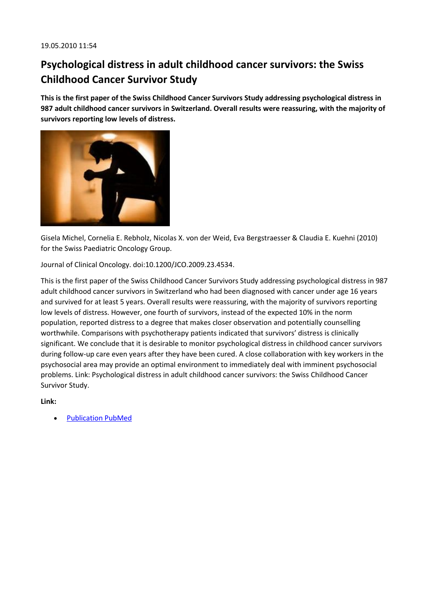# **Psychological distress in adult childhood cancer survivors: the Swiss Childhood Cancer Survivor Study**

**This is the first paper of the Swiss Childhood Cancer Survivors Study addressing psychological distress in 987 adult childhood cancer survivors in Switzerland. Overall results were reassuring, with the majority of survivors reporting low levels of distress.**



Gisela Michel, Cornelia E. Rebholz, Nicolas X. von der Weid, Eva Bergstraesser & Claudia E. Kuehni (2010) for the Swiss Paediatric Oncology Group.

Journal of Clinical Oncology. doi:10.1200/JCO.2009.23.4534.

This is the first paper of the Swiss Childhood Cancer Survivors Study addressing psychological distress in 987 adult childhood cancer survivors in Switzerland who had been diagnosed with cancer under age 16 years and survived for at least 5 years. Overall results were reassuring, with the majority of survivors reporting low levels of distress. However, one fourth of survivors, instead of the expected 10% in the norm population, reported distress to a degree that makes closer observation and potentially counselling worthwhile. Comparisons with psychotherapy patients indicated that survivors' distress is clinically significant. We conclude that it is desirable to monitor psychological distress in childhood cancer survivors during follow-up care even years after they have been cured. A close collaboration with key workers in the psychosocial area may provide an optimal environment to immediately deal with imminent psychosocial problems. Link: Psychological distress in adult childhood cancer survivors: the Swiss Childhood Cancer Survivor Study.

**Link:**

[Publication PubMed](http://www.ncbi.nlm.nih.gov/pubmed/20194864?dopt=Citation)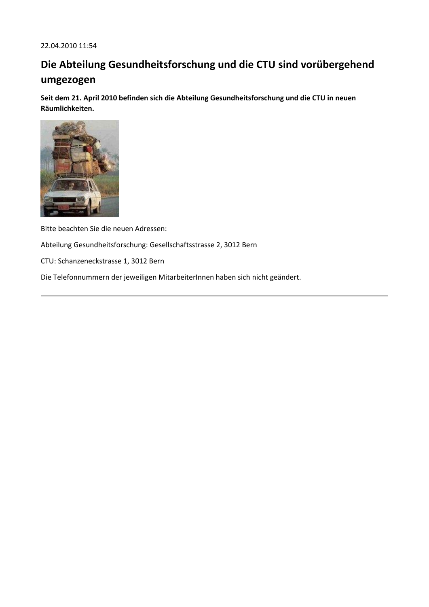# **Die Abteilung Gesundheitsforschung und die CTU sind vorübergehend umgezogen**

**Seit dem 21. April 2010 befinden sich die Abteilung Gesundheitsforschung und die CTU in neuen Räumlichkeiten.**



Bitte beachten Sie die neuen Adressen:

Abteilung Gesundheitsforschung: Gesellschaftsstrasse 2, 3012 Bern

CTU: Schanzeneckstrasse 1, 3012 Bern

Die Telefonnummern der jeweiligen MitarbeiterInnen haben sich nicht geändert.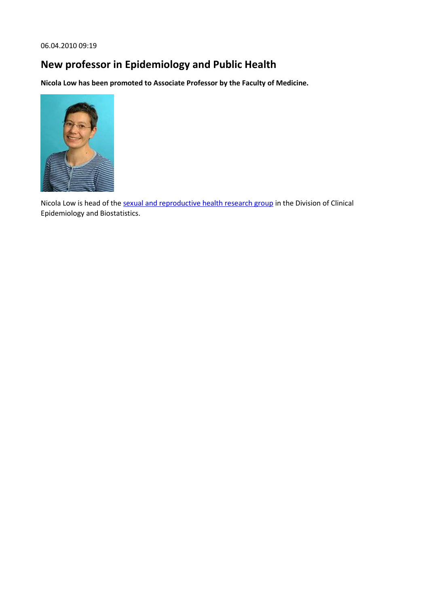# **New professor in Epidemiology and Public Health**

**Nicola Low has been promoted to Associate Professor by the Faculty of Medicine.**



Nicola Low is head of the [sexual and reproductive health research group](http://www.ispm.ch/index.php?id=810) in the Division of Clinical Epidemiology and Biostatistics.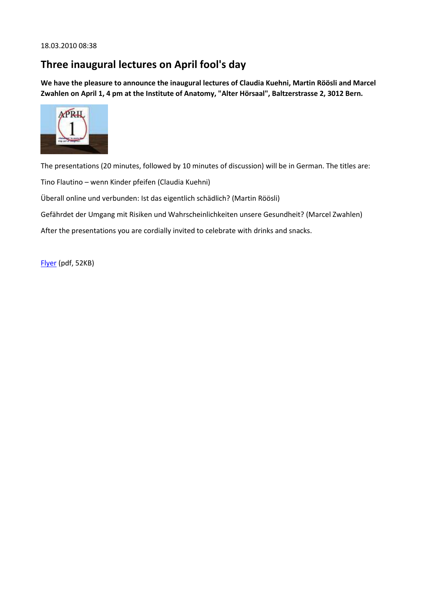## **Three inaugural lectures on April fool's day**

**We have the pleasure to announce the inaugural lectures of Claudia Kuehni, Martin Röösli and Marcel Zwahlen on April 1, 4 pm at the Institute of Anatomy, "Alter Hörsaal", Baltzerstrasse 2, 3012 Bern.**



The presentations (20 minutes, followed by 10 minutes of discussion) will be in German. The titles are:

Tino Flautino – wenn Kinder pfeifen (Claudia Kuehni)

Überall online und verbunden: Ist das eigentlich schädlich? (Martin Röösli)

Gefährdet der Umgang mit Risiken und Wahrscheinlichkeiten unsere Gesundheit? (Marcel Zwahlen)

After the presentations you are cordially invited to celebrate with drinks and snacks.

[Flyer](http://www.ispm.ch/fileadmin/doc_download/News/News_1003_Einladung_Antrittsvorlesungen_010410.pdf) (pdf, 52KB)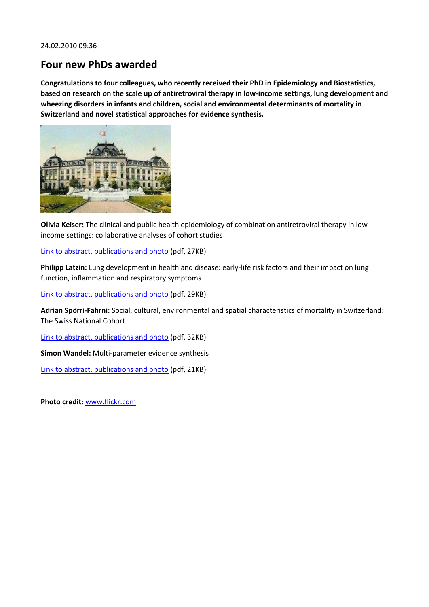#### **Four new PhDs awarded**

**Congratulations to four colleagues, who recently received their PhD in Epidemiology and Biostatistics, based on research on the scale up of antiretroviral therapy in low-income settings, lung development and wheezing disorders in infants and children, social and environmental determinants of mortality in Switzerland and novel statistical approaches for evidence synthesis.**



**Olivia Keiser:** The clinical and public health epidemiology of combination antiretroviral therapy in lowincome settings: collaborative analyses of cohort studies

[Link to abstract, publications and photo](http://www.ispm.ch/fileadmin/doc_download/News/News_1002_Keiser_Olivia.pdf) (pdf, 27KB)

**Philipp Latzin:** Lung development in health and disease: early-life risk factors and their impact on lung function, inflammation and respiratory symptoms

[Link to abstract, publications and photo](http://www.ispm.ch/fileadmin/doc_download/News/News_1002_Latzin_Philipp.pdf) (pdf, 29KB)

**Adrian Spörri-Fahrni:** Social, cultural, environmental and spatial characteristics of mortality in Switzerland: The Swiss National Cohort

[Link to abstract, publications and photo](http://www.ispm.ch/fileadmin/doc_download/News/News_1002_Spoerri_Adrian.pdf) (pdf, 32KB)

**Simon Wandel:** Multi-parameter evidence synthesis

[Link to abstract, publications and photo](http://www.ispm.ch/fileadmin/doc_download/News/News_1002_Wandel_Simon.pdf) (pdf, 21KB)

**Photo credit:** [www.flickr.com](http://www.flickr.com/photos/45633859@N06/4227300102/)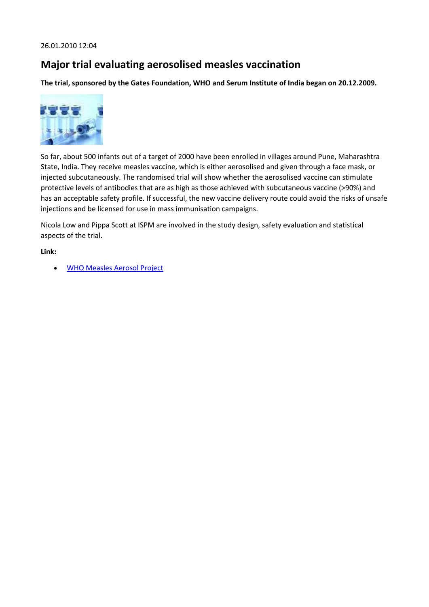### **Major trial evaluating aerosolised measles vaccination**

**The trial, sponsored by the Gates Foundation, WHO and Serum Institute of India began on 20.12.2009.**



So far, about 500 infants out of a target of 2000 have been enrolled in villages around Pune, Maharashtra State, India. They receive measles vaccine, which is either aerosolised and given through a face mask, or injected subcutaneously. The randomised trial will show whether the aerosolised vaccine can stimulate protective levels of antibodies that are as high as those achieved with subcutaneous vaccine (>90%) and has an acceptable safety profile. If successful, the new vaccine delivery route could avoid the risks of unsafe injections and be licensed for use in mass immunisation campaigns.

Nicola Low and Pippa Scott at ISPM are involved in the study design, safety evaluation and statistical aspects of the trial.

**Link:**

[WHO Measles Aerosol Project](http://www.who.int/immunization_delivery/new_vaccines/technologies_aerosol/en/index.html)